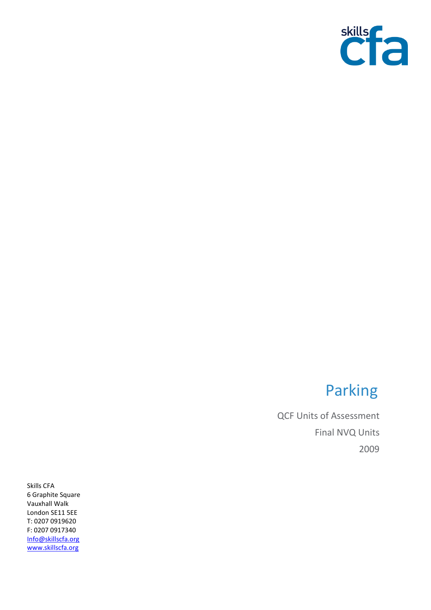

## Parking

QCF Units of Assessment Final NVQ Units 2009

Skills CFA 6 Graphite Square Vauxhall Walk London SE11 5EE T: 0207 0919620 F: 0207 0917340 [Info@skillscfa.org](mailto:Info@skillscfa.org) [www.skillscfa.org](http://www.skillscfa.org/)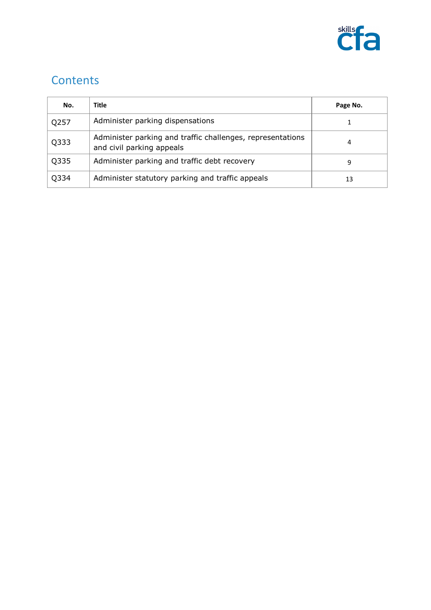

## **Contents**

| No.  | Title                                                                                   | Page No. |
|------|-----------------------------------------------------------------------------------------|----------|
| Q257 | Administer parking dispensations                                                        |          |
| Q333 | Administer parking and traffic challenges, representations<br>and civil parking appeals | 4        |
| Q335 | Administer parking and traffic debt recovery                                            | 9        |
| Q334 | Administer statutory parking and traffic appeals                                        | 13       |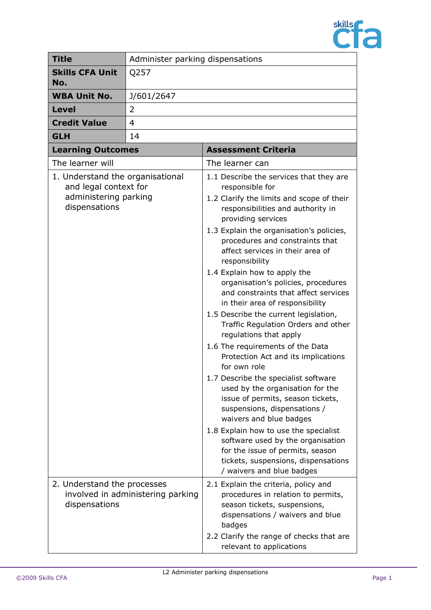

| <b>Title</b>                                                                                        | Administer parking dispensations  |                                                                                                                                                                                                                                                                                                                                                                                                                                                                                                                                                                                                                                                                                                                                                                                                                                                                                                                          |
|-----------------------------------------------------------------------------------------------------|-----------------------------------|--------------------------------------------------------------------------------------------------------------------------------------------------------------------------------------------------------------------------------------------------------------------------------------------------------------------------------------------------------------------------------------------------------------------------------------------------------------------------------------------------------------------------------------------------------------------------------------------------------------------------------------------------------------------------------------------------------------------------------------------------------------------------------------------------------------------------------------------------------------------------------------------------------------------------|
| <b>Skills CFA Unit</b><br>No.                                                                       | Q257                              |                                                                                                                                                                                                                                                                                                                                                                                                                                                                                                                                                                                                                                                                                                                                                                                                                                                                                                                          |
| <b>WBA Unit No.</b>                                                                                 | J/601/2647                        |                                                                                                                                                                                                                                                                                                                                                                                                                                                                                                                                                                                                                                                                                                                                                                                                                                                                                                                          |
| Level                                                                                               | 2                                 |                                                                                                                                                                                                                                                                                                                                                                                                                                                                                                                                                                                                                                                                                                                                                                                                                                                                                                                          |
| <b>Credit Value</b>                                                                                 | 4                                 |                                                                                                                                                                                                                                                                                                                                                                                                                                                                                                                                                                                                                                                                                                                                                                                                                                                                                                                          |
| <b>GLH</b><br>14                                                                                    |                                   |                                                                                                                                                                                                                                                                                                                                                                                                                                                                                                                                                                                                                                                                                                                                                                                                                                                                                                                          |
| <b>Learning Outcomes</b>                                                                            |                                   | <b>Assessment Criteria</b>                                                                                                                                                                                                                                                                                                                                                                                                                                                                                                                                                                                                                                                                                                                                                                                                                                                                                               |
| The learner will                                                                                    |                                   | The learner can                                                                                                                                                                                                                                                                                                                                                                                                                                                                                                                                                                                                                                                                                                                                                                                                                                                                                                          |
| 1. Understand the organisational<br>and legal context for<br>administering parking<br>dispensations |                                   | 1.1 Describe the services that they are<br>responsible for<br>1.2 Clarify the limits and scope of their<br>responsibilities and authority in<br>providing services<br>1.3 Explain the organisation's policies,<br>procedures and constraints that<br>affect services in their area of<br>responsibility<br>1.4 Explain how to apply the<br>organisation's policies, procedures<br>and constraints that affect services<br>in their area of responsibility<br>1.5 Describe the current legislation,<br>Traffic Regulation Orders and other<br>regulations that apply<br>1.6 The requirements of the Data<br>Protection Act and its implications<br>for own role<br>1.7 Describe the specialist software<br>used by the organisation for the<br>issue of permits, season tickets,<br>suspensions, dispensations /<br>waivers and blue badges<br>1.8 Explain how to use the specialist<br>software used by the organisation |
|                                                                                                     |                                   | for the issue of permits, season<br>tickets, suspensions, dispensations<br>/ waivers and blue badges                                                                                                                                                                                                                                                                                                                                                                                                                                                                                                                                                                                                                                                                                                                                                                                                                     |
| 2. Understand the processes<br>dispensations                                                        | involved in administering parking | 2.1 Explain the criteria, policy and<br>procedures in relation to permits,<br>season tickets, suspensions,<br>dispensations / waivers and blue<br>badges<br>2.2 Clarify the range of checks that are<br>relevant to applications                                                                                                                                                                                                                                                                                                                                                                                                                                                                                                                                                                                                                                                                                         |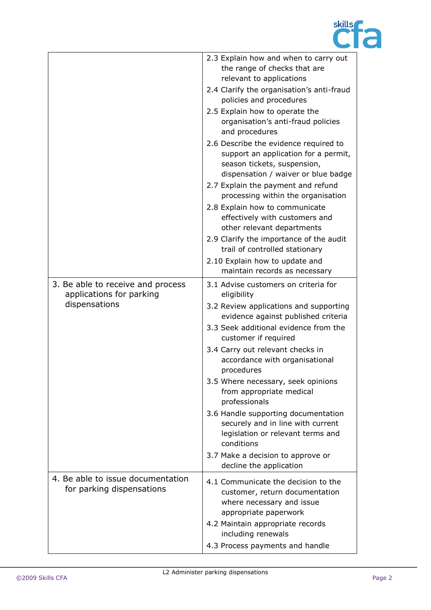

| 2.3 Explain how and when to carry out                                     |
|---------------------------------------------------------------------------|
| the range of checks that are                                              |
| relevant to applications                                                  |
| 2.4 Clarify the organisation's anti-fraud                                 |
| policies and procedures                                                   |
| 2.5 Explain how to operate the                                            |
| organisation's anti-fraud policies                                        |
| and procedures                                                            |
| 2.6 Describe the evidence required to                                     |
| support an application for a permit,                                      |
| season tickets, suspension,                                               |
| dispensation / waiver or blue badge                                       |
|                                                                           |
| 2.7 Explain the payment and refund<br>processing within the organisation  |
| 2.8 Explain how to communicate                                            |
| effectively with customers and                                            |
| other relevant departments                                                |
| 2.9 Clarify the importance of the audit                                   |
| trail of controlled stationary                                            |
| 2.10 Explain how to update and                                            |
| maintain records as necessary                                             |
| 3. Be able to receive and process<br>3.1 Advise customers on criteria for |
| applications for parking<br>eligibility                                   |
| dispensations<br>3.2 Review applications and supporting                   |
| evidence against published criteria                                       |
| 3.3 Seek additional evidence from the                                     |
| customer if required                                                      |
| 3.4 Carry out relevant checks in                                          |
| accordance with organisational                                            |
| procedures                                                                |
| 3.5 Where necessary, seek opinions                                        |
| from appropriate medical                                                  |
| professionals                                                             |
| 3.6 Handle supporting documentation                                       |
| securely and in line with current                                         |
| legislation or relevant terms and                                         |
| conditions                                                                |
| 3.7 Make a decision to approve or                                         |
| decline the application                                                   |
| 4. Be able to issue documentation<br>4.1 Communicate the decision to the  |
| for parking dispensations<br>customer, return documentation               |
| where necessary and issue                                                 |
| appropriate paperwork                                                     |
|                                                                           |
|                                                                           |
| 4.2 Maintain appropriate records<br>including renewals                    |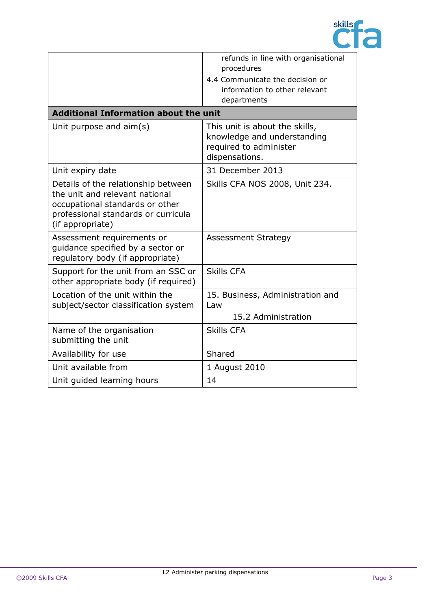

|                                                                                                                                                                     | refunds in line with organisational<br>procedures                                                         |
|---------------------------------------------------------------------------------------------------------------------------------------------------------------------|-----------------------------------------------------------------------------------------------------------|
|                                                                                                                                                                     | 4.4 Communicate the decision or                                                                           |
|                                                                                                                                                                     | information to other relevant                                                                             |
|                                                                                                                                                                     | departments                                                                                               |
| <b>Additional Information about the unit</b>                                                                                                                        |                                                                                                           |
| Unit purpose and aim(s)                                                                                                                                             | This unit is about the skills,<br>knowledge and understanding<br>required to administer<br>dispensations. |
| Unit expiry date                                                                                                                                                    | 31 December 2013                                                                                          |
| Details of the relationship between<br>the unit and relevant national<br>occupational standards or other<br>professional standards or curricula<br>(if appropriate) | Skills CFA NOS 2008, Unit 234.                                                                            |
| Assessment requirements or<br>guidance specified by a sector or<br>regulatory body (if appropriate)                                                                 | <b>Assessment Strategy</b>                                                                                |
| Support for the unit from an SSC or<br>other appropriate body (if required)                                                                                         | <b>Skills CFA</b>                                                                                         |
| Location of the unit within the<br>subject/sector classification system                                                                                             | 15. Business, Administration and<br>Law<br>15.2 Administration                                            |
|                                                                                                                                                                     |                                                                                                           |
| Name of the organisation<br>submitting the unit                                                                                                                     | <b>Skills CFA</b>                                                                                         |
| Availability for use                                                                                                                                                | Shared                                                                                                    |
| Unit available from                                                                                                                                                 | 1 August 2010                                                                                             |
| Unit guided learning hours                                                                                                                                          | 14                                                                                                        |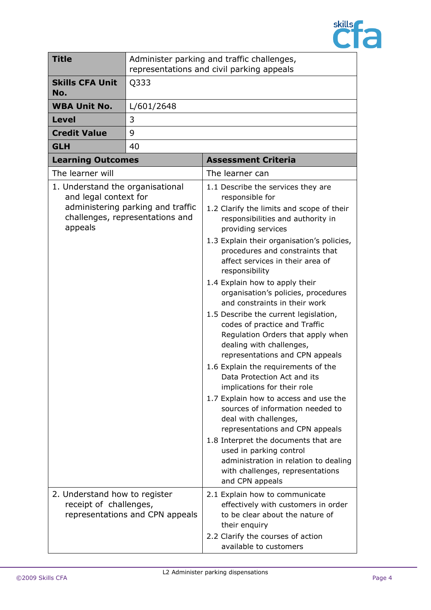

| <b>Title</b>                                                                                                                                 |                                 | Administer parking and traffic challenges,<br>representations and civil parking appeals                                                                                                                                                                                                                                                                                                                                                                                                                                                                                                                                                                                                                                                                                                                                                                                                                                                                |
|----------------------------------------------------------------------------------------------------------------------------------------------|---------------------------------|--------------------------------------------------------------------------------------------------------------------------------------------------------------------------------------------------------------------------------------------------------------------------------------------------------------------------------------------------------------------------------------------------------------------------------------------------------------------------------------------------------------------------------------------------------------------------------------------------------------------------------------------------------------------------------------------------------------------------------------------------------------------------------------------------------------------------------------------------------------------------------------------------------------------------------------------------------|
| <b>Skills CFA Unit</b><br>No.                                                                                                                | Q333                            |                                                                                                                                                                                                                                                                                                                                                                                                                                                                                                                                                                                                                                                                                                                                                                                                                                                                                                                                                        |
| <b>WBA Unit No.</b>                                                                                                                          | L/601/2648                      |                                                                                                                                                                                                                                                                                                                                                                                                                                                                                                                                                                                                                                                                                                                                                                                                                                                                                                                                                        |
| 3<br><b>Level</b>                                                                                                                            |                                 |                                                                                                                                                                                                                                                                                                                                                                                                                                                                                                                                                                                                                                                                                                                                                                                                                                                                                                                                                        |
| <b>Credit Value</b>                                                                                                                          | 9                               |                                                                                                                                                                                                                                                                                                                                                                                                                                                                                                                                                                                                                                                                                                                                                                                                                                                                                                                                                        |
| 40<br><b>GLH</b>                                                                                                                             |                                 |                                                                                                                                                                                                                                                                                                                                                                                                                                                                                                                                                                                                                                                                                                                                                                                                                                                                                                                                                        |
| <b>Learning Outcomes</b>                                                                                                                     |                                 | <b>Assessment Criteria</b>                                                                                                                                                                                                                                                                                                                                                                                                                                                                                                                                                                                                                                                                                                                                                                                                                                                                                                                             |
| The learner will                                                                                                                             |                                 | The learner can                                                                                                                                                                                                                                                                                                                                                                                                                                                                                                                                                                                                                                                                                                                                                                                                                                                                                                                                        |
| 1. Understand the organisational<br>and legal context for<br>administering parking and traffic<br>challenges, representations and<br>appeals |                                 | 1.1 Describe the services they are<br>responsible for<br>1.2 Clarify the limits and scope of their<br>responsibilities and authority in<br>providing services<br>1.3 Explain their organisation's policies,<br>procedures and constraints that<br>affect services in their area of<br>responsibility<br>1.4 Explain how to apply their<br>organisation's policies, procedures<br>and constraints in their work<br>1.5 Describe the current legislation,<br>codes of practice and Traffic<br>Regulation Orders that apply when<br>dealing with challenges,<br>representations and CPN appeals<br>1.6 Explain the requirements of the<br>Data Protection Act and its<br>implications for their role<br>1.7 Explain how to access and use the<br>sources of information needed to<br>deal with challenges,<br>representations and CPN appeals<br>1.8 Interpret the documents that are<br>used in parking control<br>administration in relation to dealing |
|                                                                                                                                              |                                 | with challenges, representations<br>and CPN appeals                                                                                                                                                                                                                                                                                                                                                                                                                                                                                                                                                                                                                                                                                                                                                                                                                                                                                                    |
| 2. Understand how to register<br>receipt of challenges,                                                                                      | representations and CPN appeals | 2.1 Explain how to communicate<br>effectively with customers in order<br>to be clear about the nature of<br>their enquiry<br>2.2 Clarify the courses of action<br>available to customers                                                                                                                                                                                                                                                                                                                                                                                                                                                                                                                                                                                                                                                                                                                                                               |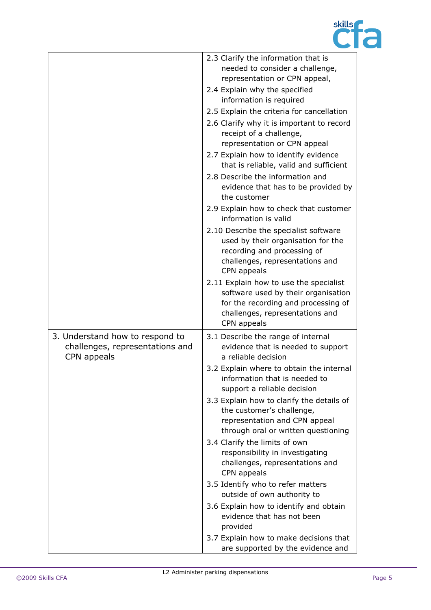

|                                                                                   | 2.3 Clarify the information that is<br>needed to consider a challenge,<br>representation or CPN appeal,<br>2.4 Explain why the specified<br>information is required<br>2.5 Explain the criteria for cancellation<br>2.6 Clarify why it is important to record<br>receipt of a challenge,<br>representation or CPN appeal<br>2.7 Explain how to identify evidence |
|-----------------------------------------------------------------------------------|------------------------------------------------------------------------------------------------------------------------------------------------------------------------------------------------------------------------------------------------------------------------------------------------------------------------------------------------------------------|
|                                                                                   | that is reliable, valid and sufficient<br>2.8 Describe the information and<br>evidence that has to be provided by<br>the customer                                                                                                                                                                                                                                |
|                                                                                   | 2.9 Explain how to check that customer<br>information is valid                                                                                                                                                                                                                                                                                                   |
|                                                                                   | 2.10 Describe the specialist software<br>used by their organisation for the<br>recording and processing of<br>challenges, representations and<br>CPN appeals                                                                                                                                                                                                     |
|                                                                                   | 2.11 Explain how to use the specialist<br>software used by their organisation<br>for the recording and processing of<br>challenges, representations and<br>CPN appeals                                                                                                                                                                                           |
| 3. Understand how to respond to<br>challenges, representations and<br>CPN appeals | 3.1 Describe the range of internal<br>evidence that is needed to support<br>a reliable decision                                                                                                                                                                                                                                                                  |
|                                                                                   | 3.2 Explain where to obtain the internal<br>information that is needed to<br>support a reliable decision                                                                                                                                                                                                                                                         |
|                                                                                   | 3.3 Explain how to clarify the details of<br>the customer's challenge,<br>representation and CPN appeal<br>through oral or written questioning                                                                                                                                                                                                                   |
|                                                                                   | 3.4 Clarify the limits of own<br>responsibility in investigating<br>challenges, representations and<br>CPN appeals                                                                                                                                                                                                                                               |
|                                                                                   | 3.5 Identify who to refer matters<br>outside of own authority to                                                                                                                                                                                                                                                                                                 |
|                                                                                   | 3.6 Explain how to identify and obtain<br>evidence that has not been<br>provided                                                                                                                                                                                                                                                                                 |
|                                                                                   | 3.7 Explain how to make decisions that<br>are supported by the evidence and                                                                                                                                                                                                                                                                                      |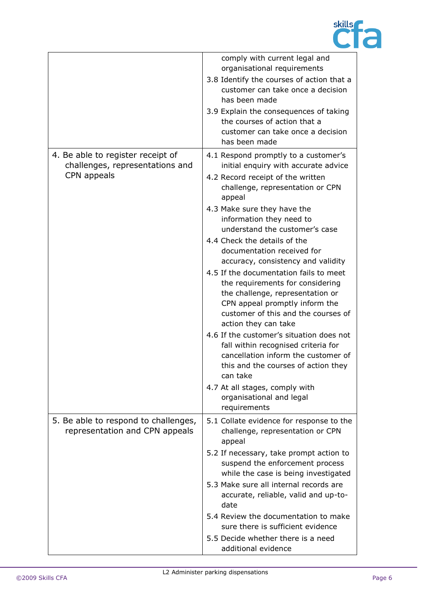

|                                                                        | comply with current legal and<br>organisational requirements<br>3.8 Identify the courses of action that a                                                                                                       |
|------------------------------------------------------------------------|-----------------------------------------------------------------------------------------------------------------------------------------------------------------------------------------------------------------|
|                                                                        | customer can take once a decision<br>has been made                                                                                                                                                              |
|                                                                        | 3.9 Explain the consequences of taking<br>the courses of action that a<br>customer can take once a decision<br>has been made                                                                                    |
| 4. Be able to register receipt of<br>challenges, representations and   | 4.1 Respond promptly to a customer's<br>initial enquiry with accurate advice                                                                                                                                    |
| CPN appeals                                                            | 4.2 Record receipt of the written<br>challenge, representation or CPN<br>appeal                                                                                                                                 |
|                                                                        | 4.3 Make sure they have the<br>information they need to<br>understand the customer's case                                                                                                                       |
|                                                                        | 4.4 Check the details of the<br>documentation received for<br>accuracy, consistency and validity                                                                                                                |
|                                                                        | 4.5 If the documentation fails to meet<br>the requirements for considering<br>the challenge, representation or<br>CPN appeal promptly inform the<br>customer of this and the courses of<br>action they can take |
|                                                                        | 4.6 If the customer's situation does not<br>fall within recognised criteria for<br>cancellation inform the customer of<br>this and the courses of action they<br>can take                                       |
|                                                                        | 4.7 At all stages, comply with<br>organisational and legal<br>requirements                                                                                                                                      |
| 5. Be able to respond to challenges,<br>representation and CPN appeals | 5.1 Collate evidence for response to the<br>challenge, representation or CPN<br>appeal                                                                                                                          |
|                                                                        | 5.2 If necessary, take prompt action to<br>suspend the enforcement process<br>while the case is being investigated                                                                                              |
|                                                                        | 5.3 Make sure all internal records are<br>accurate, reliable, valid and up-to-<br>date                                                                                                                          |
|                                                                        | 5.4 Review the documentation to make<br>sure there is sufficient evidence                                                                                                                                       |
|                                                                        | 5.5 Decide whether there is a need<br>additional evidence                                                                                                                                                       |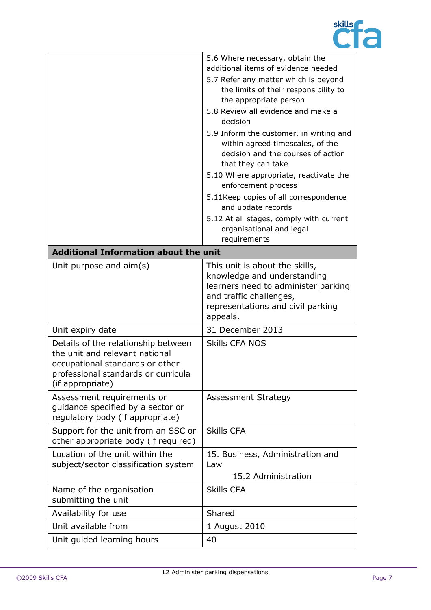

|                                                                                                                                                                     | 5.6 Where necessary, obtain the                                                                                                                                                  |
|---------------------------------------------------------------------------------------------------------------------------------------------------------------------|----------------------------------------------------------------------------------------------------------------------------------------------------------------------------------|
|                                                                                                                                                                     | additional items of evidence needed                                                                                                                                              |
|                                                                                                                                                                     | 5.7 Refer any matter which is beyond                                                                                                                                             |
|                                                                                                                                                                     | the limits of their responsibility to                                                                                                                                            |
|                                                                                                                                                                     | the appropriate person                                                                                                                                                           |
|                                                                                                                                                                     | 5.8 Review all evidence and make a<br>decision                                                                                                                                   |
|                                                                                                                                                                     | 5.9 Inform the customer, in writing and<br>within agreed timescales, of the<br>decision and the courses of action<br>that they can take                                          |
|                                                                                                                                                                     | 5.10 Where appropriate, reactivate the<br>enforcement process                                                                                                                    |
|                                                                                                                                                                     | 5.11Keep copies of all correspondence<br>and update records                                                                                                                      |
|                                                                                                                                                                     | 5.12 At all stages, comply with current<br>organisational and legal<br>requirements                                                                                              |
| <b>Additional Information about the unit</b>                                                                                                                        |                                                                                                                                                                                  |
| Unit purpose and $\text{aim}(s)$                                                                                                                                    | This unit is about the skills,<br>knowledge and understanding<br>learners need to administer parking<br>and traffic challenges,<br>representations and civil parking<br>appeals. |
| Unit expiry date                                                                                                                                                    | 31 December 2013                                                                                                                                                                 |
| Details of the relationship between<br>the unit and relevant national<br>occupational standards or other<br>professional standards or curricula<br>(if appropriate) | <b>Skills CFA NOS</b>                                                                                                                                                            |
| Assessment requirements or<br>quidance specified by a sector or<br>regulatory body (if appropriate)                                                                 | <b>Assessment Strategy</b>                                                                                                                                                       |
| Support for the unit from an SSC or<br>other appropriate body (if required)                                                                                         | <b>Skills CFA</b>                                                                                                                                                                |
| Location of the unit within the<br>subject/sector classification system                                                                                             | 15. Business, Administration and<br>Law<br>15.2 Administration                                                                                                                   |
|                                                                                                                                                                     |                                                                                                                                                                                  |
| Name of the organisation<br>submitting the unit                                                                                                                     | <b>Skills CFA</b>                                                                                                                                                                |
| Availability for use                                                                                                                                                | Shared                                                                                                                                                                           |
| Unit available from                                                                                                                                                 | 1 August 2010                                                                                                                                                                    |
| Unit guided learning hours                                                                                                                                          | 40                                                                                                                                                                               |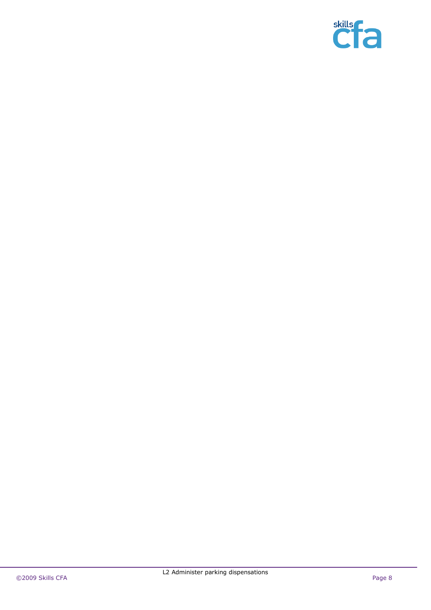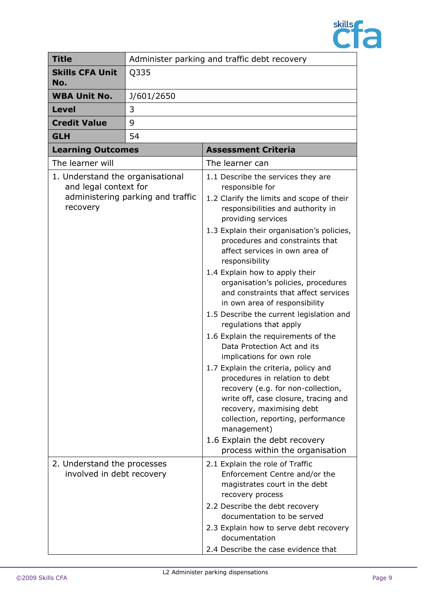

| <b>Title</b>                                                                                               | Administer parking and traffic debt recovery |                                                                                                                                                                                                                                                                                                                                                                                                                                                                                                                                                                                                                                                                                                                                                                                                                    |
|------------------------------------------------------------------------------------------------------------|----------------------------------------------|--------------------------------------------------------------------------------------------------------------------------------------------------------------------------------------------------------------------------------------------------------------------------------------------------------------------------------------------------------------------------------------------------------------------------------------------------------------------------------------------------------------------------------------------------------------------------------------------------------------------------------------------------------------------------------------------------------------------------------------------------------------------------------------------------------------------|
| <b>Skills CFA Unit</b><br>Q335<br>No.                                                                      |                                              |                                                                                                                                                                                                                                                                                                                                                                                                                                                                                                                                                                                                                                                                                                                                                                                                                    |
| <b>WBA Unit No.</b>                                                                                        | J/601/2650                                   |                                                                                                                                                                                                                                                                                                                                                                                                                                                                                                                                                                                                                                                                                                                                                                                                                    |
| <b>Level</b>                                                                                               | 3                                            |                                                                                                                                                                                                                                                                                                                                                                                                                                                                                                                                                                                                                                                                                                                                                                                                                    |
| <b>Credit Value</b>                                                                                        | 9                                            |                                                                                                                                                                                                                                                                                                                                                                                                                                                                                                                                                                                                                                                                                                                                                                                                                    |
| <b>GLH</b><br>54                                                                                           |                                              |                                                                                                                                                                                                                                                                                                                                                                                                                                                                                                                                                                                                                                                                                                                                                                                                                    |
| <b>Learning Outcomes</b>                                                                                   |                                              | <b>Assessment Criteria</b>                                                                                                                                                                                                                                                                                                                                                                                                                                                                                                                                                                                                                                                                                                                                                                                         |
| The learner will                                                                                           |                                              | The learner can                                                                                                                                                                                                                                                                                                                                                                                                                                                                                                                                                                                                                                                                                                                                                                                                    |
| 1. Understand the organisational<br>and legal context for<br>administering parking and traffic<br>recovery |                                              | 1.1 Describe the services they are<br>responsible for<br>1.2 Clarify the limits and scope of their<br>responsibilities and authority in<br>providing services<br>1.3 Explain their organisation's policies,<br>procedures and constraints that<br>affect services in own area of<br>responsibility<br>1.4 Explain how to apply their<br>organisation's policies, procedures<br>and constraints that affect services<br>in own area of responsibility<br>1.5 Describe the current legislation and<br>regulations that apply<br>1.6 Explain the requirements of the<br>Data Protection Act and its<br>implications for own role<br>1.7 Explain the criteria, policy and<br>procedures in relation to debt<br>recovery (e.g. for non-collection,<br>write off, case closure, tracing and<br>recovery, maximising debt |
|                                                                                                            |                                              | collection, reporting, performance<br>management)<br>1.6 Explain the debt recovery<br>process within the organisation                                                                                                                                                                                                                                                                                                                                                                                                                                                                                                                                                                                                                                                                                              |
| 2. Understand the processes<br>involved in debt recovery                                                   |                                              | 2.1 Explain the role of Traffic<br>Enforcement Centre and/or the<br>magistrates court in the debt<br>recovery process<br>2.2 Describe the debt recovery<br>documentation to be served<br>2.3 Explain how to serve debt recovery<br>documentation<br>2.4 Describe the case evidence that                                                                                                                                                                                                                                                                                                                                                                                                                                                                                                                            |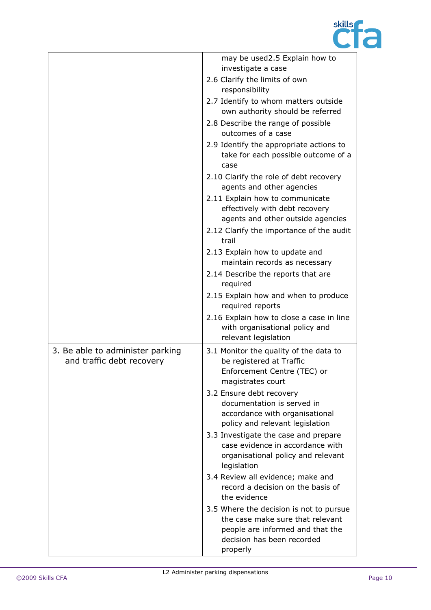

|                                  | may be used 2.5 Explain how to                                                                         |
|----------------------------------|--------------------------------------------------------------------------------------------------------|
|                                  | investigate a case                                                                                     |
|                                  | 2.6 Clarify the limits of own<br>responsibility                                                        |
|                                  | 2.7 Identify to whom matters outside                                                                   |
|                                  | own authority should be referred                                                                       |
|                                  | 2.8 Describe the range of possible                                                                     |
|                                  | outcomes of a case                                                                                     |
|                                  | 2.9 Identify the appropriate actions to<br>take for each possible outcome of a<br>case                 |
|                                  | 2.10 Clarify the role of debt recovery<br>agents and other agencies                                    |
|                                  | 2.11 Explain how to communicate<br>effectively with debt recovery<br>agents and other outside agencies |
|                                  | 2.12 Clarify the importance of the audit<br>trail                                                      |
|                                  | 2.13 Explain how to update and<br>maintain records as necessary                                        |
|                                  | 2.14 Describe the reports that are<br>required                                                         |
|                                  | 2.15 Explain how and when to produce<br>required reports                                               |
|                                  | 2.16 Explain how to close a case in line<br>with organisational policy and<br>relevant legislation     |
| 3. Be able to administer parking | 3.1 Monitor the quality of the data to                                                                 |
| and traffic debt recovery        | be registered at Traffic                                                                               |
|                                  | Enforcement Centre (TEC) or                                                                            |
|                                  | magistrates court                                                                                      |
|                                  | 3.2 Ensure debt recovery<br>documentation is served in                                                 |
|                                  | accordance with organisational                                                                         |
|                                  | policy and relevant legislation                                                                        |
|                                  | 3.3 Investigate the case and prepare                                                                   |
|                                  | case evidence in accordance with<br>organisational policy and relevant<br>legislation                  |
|                                  | 3.4 Review all evidence; make and                                                                      |
|                                  | record a decision on the basis of<br>the evidence                                                      |
|                                  | 3.5 Where the decision is not to pursue                                                                |
|                                  | the case make sure that relevant                                                                       |
|                                  | people are informed and that the<br>decision has been recorded                                         |
|                                  | properly                                                                                               |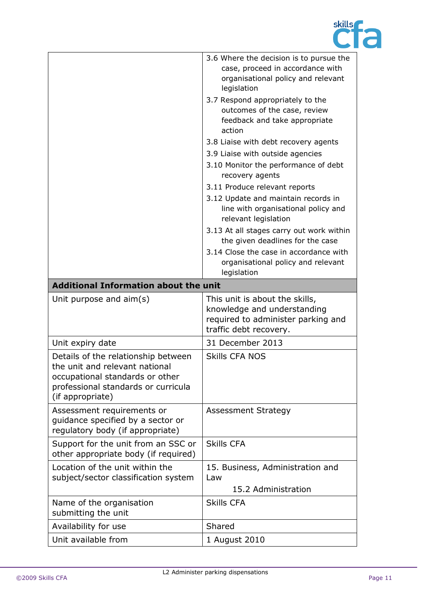

|                                                                                                                                                                     | 3.6 Where the decision is to pursue the<br>case, proceed in accordance with<br>organisational policy and relevant<br>legislation<br>3.7 Respond appropriately to the<br>outcomes of the case, review<br>feedback and take appropriate<br>action |
|---------------------------------------------------------------------------------------------------------------------------------------------------------------------|-------------------------------------------------------------------------------------------------------------------------------------------------------------------------------------------------------------------------------------------------|
|                                                                                                                                                                     | 3.8 Liaise with debt recovery agents                                                                                                                                                                                                            |
|                                                                                                                                                                     | 3.9 Liaise with outside agencies                                                                                                                                                                                                                |
|                                                                                                                                                                     | 3.10 Monitor the performance of debt<br>recovery agents                                                                                                                                                                                         |
|                                                                                                                                                                     | 3.11 Produce relevant reports                                                                                                                                                                                                                   |
|                                                                                                                                                                     | 3.12 Update and maintain records in<br>line with organisational policy and<br>relevant legislation                                                                                                                                              |
|                                                                                                                                                                     | 3.13 At all stages carry out work within<br>the given deadlines for the case                                                                                                                                                                    |
|                                                                                                                                                                     | 3.14 Close the case in accordance with<br>organisational policy and relevant<br>legislation                                                                                                                                                     |
| <b>Additional Information about the unit</b>                                                                                                                        |                                                                                                                                                                                                                                                 |
|                                                                                                                                                                     |                                                                                                                                                                                                                                                 |
| Unit purpose and $\text{aim}(s)$                                                                                                                                    | This unit is about the skills,<br>knowledge and understanding<br>required to administer parking and<br>traffic debt recovery.                                                                                                                   |
| Unit expiry date                                                                                                                                                    | 31 December 2013                                                                                                                                                                                                                                |
| Details of the relationship between<br>the unit and relevant national<br>occupational standards or other<br>professional standards or curricula<br>(if appropriate) | <b>Skills CFA NOS</b>                                                                                                                                                                                                                           |
| Assessment requirements or<br>quidance specified by a sector or<br>regulatory body (if appropriate)                                                                 | <b>Assessment Strategy</b>                                                                                                                                                                                                                      |
| Support for the unit from an SSC or<br>other appropriate body (if required)                                                                                         | <b>Skills CFA</b>                                                                                                                                                                                                                               |
| Location of the unit within the<br>subject/sector classification system                                                                                             | 15. Business, Administration and<br>Law<br>15.2 Administration                                                                                                                                                                                  |
| Name of the organisation<br>submitting the unit                                                                                                                     | <b>Skills CFA</b>                                                                                                                                                                                                                               |
| Availability for use                                                                                                                                                | Shared                                                                                                                                                                                                                                          |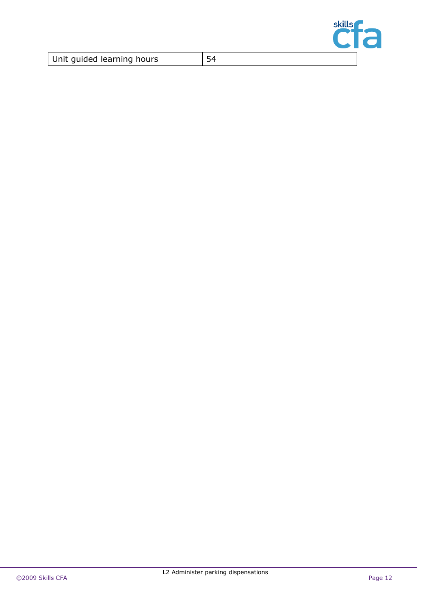

Unit guided learning hours | 54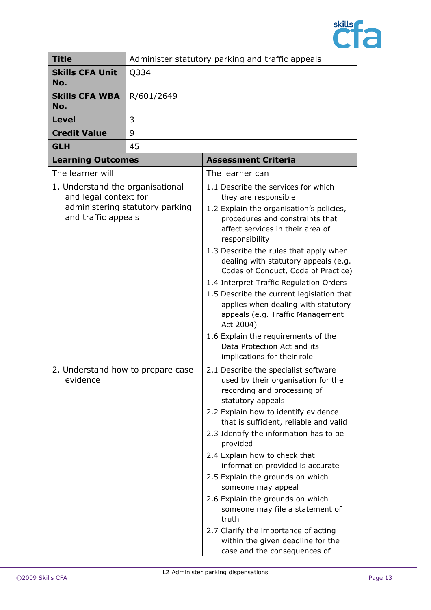

| <b>Title</b>                                                                                                        |            | Administer statutory parking and traffic appeals                                                                                                                                                                                                                                                                                                                                                                                                                                                                                                                                                               |
|---------------------------------------------------------------------------------------------------------------------|------------|----------------------------------------------------------------------------------------------------------------------------------------------------------------------------------------------------------------------------------------------------------------------------------------------------------------------------------------------------------------------------------------------------------------------------------------------------------------------------------------------------------------------------------------------------------------------------------------------------------------|
| <b>Skills CFA Unit</b><br>No.                                                                                       | Q334       |                                                                                                                                                                                                                                                                                                                                                                                                                                                                                                                                                                                                                |
| <b>Skills CFA WBA</b><br>No.                                                                                        | R/601/2649 |                                                                                                                                                                                                                                                                                                                                                                                                                                                                                                                                                                                                                |
| <b>Level</b>                                                                                                        | 3          |                                                                                                                                                                                                                                                                                                                                                                                                                                                                                                                                                                                                                |
| <b>Credit Value</b>                                                                                                 | 9          |                                                                                                                                                                                                                                                                                                                                                                                                                                                                                                                                                                                                                |
| <b>GLH</b>                                                                                                          | 45         |                                                                                                                                                                                                                                                                                                                                                                                                                                                                                                                                                                                                                |
| <b>Learning Outcomes</b>                                                                                            |            | <b>Assessment Criteria</b>                                                                                                                                                                                                                                                                                                                                                                                                                                                                                                                                                                                     |
| The learner will                                                                                                    |            | The learner can                                                                                                                                                                                                                                                                                                                                                                                                                                                                                                                                                                                                |
| 1. Understand the organisational<br>and legal context for<br>administering statutory parking<br>and traffic appeals |            | 1.1 Describe the services for which<br>they are responsible<br>1.2 Explain the organisation's policies,<br>procedures and constraints that<br>affect services in their area of<br>responsibility<br>1.3 Describe the rules that apply when<br>dealing with statutory appeals (e.g.<br>Codes of Conduct, Code of Practice)<br>1.4 Interpret Traffic Regulation Orders<br>1.5 Describe the current legislation that<br>applies when dealing with statutory<br>appeals (e.g. Traffic Management<br>Act 2004)<br>1.6 Explain the requirements of the<br>Data Protection Act and its<br>implications for their role |
| 2. Understand how to prepare case<br>evidence                                                                       |            | 2.1 Describe the specialist software<br>used by their organisation for the<br>recording and processing of<br>statutory appeals<br>2.2 Explain how to identify evidence<br>that is sufficient, reliable and valid<br>2.3 Identify the information has to be<br>provided<br>2.4 Explain how to check that<br>information provided is accurate<br>2.5 Explain the grounds on which<br>someone may appeal<br>2.6 Explain the grounds on which<br>someone may file a statement of<br>truth<br>2.7 Clarify the importance of acting<br>within the given deadline for the<br>case and the consequences of             |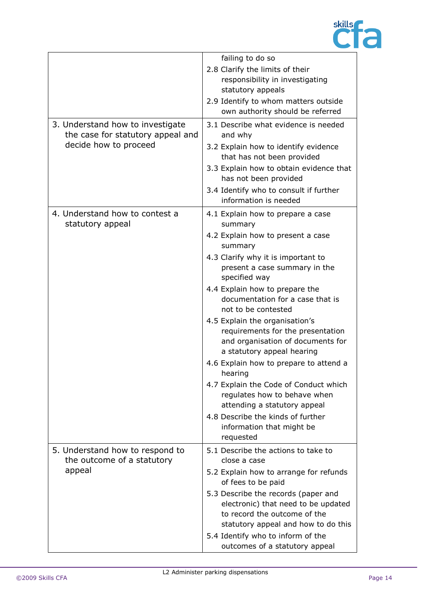

| 3. Understand how to investigate<br>the case for statutory appeal and<br>decide how to proceed | failing to do so<br>2.8 Clarify the limits of their<br>responsibility in investigating<br>statutory appeals<br>2.9 Identify to whom matters outside<br>own authority should be referred<br>3.1 Describe what evidence is needed<br>and why<br>3.2 Explain how to identify evidence                                                                                                                                                                                                                                                                                                                                                                                       |
|------------------------------------------------------------------------------------------------|--------------------------------------------------------------------------------------------------------------------------------------------------------------------------------------------------------------------------------------------------------------------------------------------------------------------------------------------------------------------------------------------------------------------------------------------------------------------------------------------------------------------------------------------------------------------------------------------------------------------------------------------------------------------------|
|                                                                                                | that has not been provided<br>3.3 Explain how to obtain evidence that<br>has not been provided<br>3.4 Identify who to consult if further<br>information is needed                                                                                                                                                                                                                                                                                                                                                                                                                                                                                                        |
| 4. Understand how to contest a<br>statutory appeal                                             | 4.1 Explain how to prepare a case<br>summary<br>4.2 Explain how to present a case<br>summary<br>4.3 Clarify why it is important to<br>present a case summary in the<br>specified way<br>4.4 Explain how to prepare the<br>documentation for a case that is<br>not to be contested<br>4.5 Explain the organisation's<br>requirements for the presentation<br>and organisation of documents for<br>a statutory appeal hearing<br>4.6 Explain how to prepare to attend a<br>hearing<br>4.7 Explain the Code of Conduct which<br>regulates how to behave when<br>attending a statutory appeal<br>4.8 Describe the kinds of further<br>information that might be<br>requested |
| 5. Understand how to respond to<br>the outcome of a statutory<br>appeal                        | 5.1 Describe the actions to take to<br>close a case<br>5.2 Explain how to arrange for refunds<br>of fees to be paid<br>5.3 Describe the records (paper and<br>electronic) that need to be updated<br>to record the outcome of the<br>statutory appeal and how to do this<br>5.4 Identify who to inform of the<br>outcomes of a statutory appeal                                                                                                                                                                                                                                                                                                                          |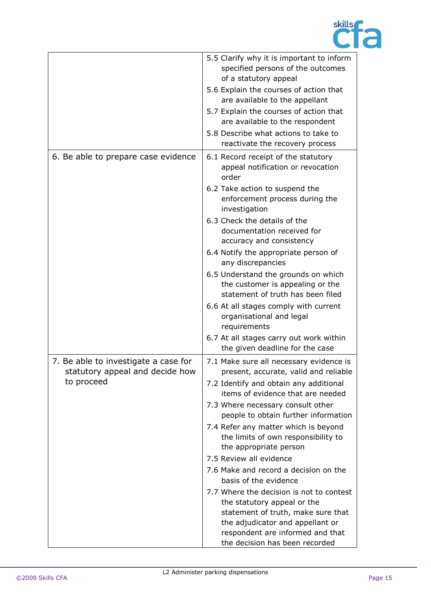

|                                                                                       | 5.5 Clarify why it is important to inform<br>specified persons of the outcomes<br>of a statutory appeal<br>5.6 Explain the courses of action that<br>are available to the appellant<br>5.7 Explain the courses of action that<br>are available to the respondent<br>5.8 Describe what actions to take to<br>reactivate the recovery process                                                                                                        |
|---------------------------------------------------------------------------------------|----------------------------------------------------------------------------------------------------------------------------------------------------------------------------------------------------------------------------------------------------------------------------------------------------------------------------------------------------------------------------------------------------------------------------------------------------|
| 6. Be able to prepare case evidence                                                   | 6.1 Record receipt of the statutory<br>appeal notification or revocation<br>order                                                                                                                                                                                                                                                                                                                                                                  |
|                                                                                       | 6.2 Take action to suspend the<br>enforcement process during the<br>investigation<br>6.3 Check the details of the<br>documentation received for                                                                                                                                                                                                                                                                                                    |
|                                                                                       | accuracy and consistency<br>6.4 Notify the appropriate person of<br>any discrepancies                                                                                                                                                                                                                                                                                                                                                              |
|                                                                                       | 6.5 Understand the grounds on which<br>the customer is appealing or the<br>statement of truth has been filed<br>6.6 At all stages comply with current                                                                                                                                                                                                                                                                                              |
|                                                                                       | organisational and legal<br>requirements                                                                                                                                                                                                                                                                                                                                                                                                           |
|                                                                                       | 6.7 At all stages carry out work within<br>the given deadline for the case                                                                                                                                                                                                                                                                                                                                                                         |
| 7. Be able to investigate a case for<br>statutory appeal and decide how<br>to proceed | 7.1 Make sure all necessary evidence is<br>present, accurate, valid and reliable<br>7.2 Identify and obtain any additional<br>items of evidence that are needed<br>7.3 Where necessary consult other<br>people to obtain further information<br>7.4 Refer any matter which is beyond<br>the limits of own responsibility to<br>the appropriate person<br>7.5 Review all evidence<br>7.6 Make and record a decision on the<br>basis of the evidence |
|                                                                                       | 7.7 Where the decision is not to contest<br>the statutory appeal or the<br>statement of truth, make sure that<br>the adjudicator and appellant or<br>respondent are informed and that<br>the decision has been recorded                                                                                                                                                                                                                            |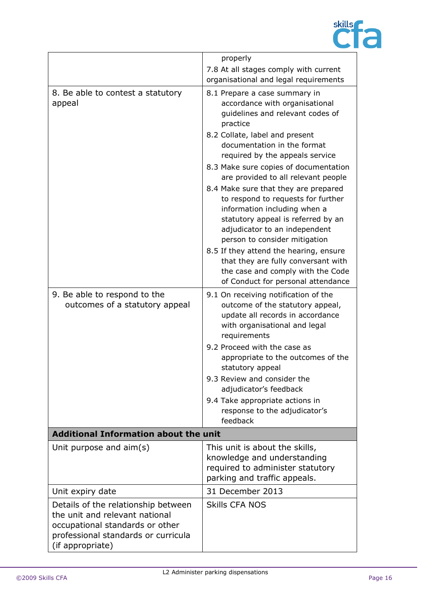

|                                                                                                                                                                     | properly                                                                                                                                                                                                           |  |
|---------------------------------------------------------------------------------------------------------------------------------------------------------------------|--------------------------------------------------------------------------------------------------------------------------------------------------------------------------------------------------------------------|--|
|                                                                                                                                                                     | 7.8 At all stages comply with current                                                                                                                                                                              |  |
|                                                                                                                                                                     | organisational and legal requirements                                                                                                                                                                              |  |
| 8. Be able to contest a statutory<br>appeal                                                                                                                         | 8.1 Prepare a case summary in<br>accordance with organisational<br>guidelines and relevant codes of<br>practice                                                                                                    |  |
|                                                                                                                                                                     | 8.2 Collate, label and present<br>documentation in the format<br>required by the appeals service                                                                                                                   |  |
|                                                                                                                                                                     | 8.3 Make sure copies of documentation<br>are provided to all relevant people                                                                                                                                       |  |
|                                                                                                                                                                     | 8.4 Make sure that they are prepared<br>to respond to requests for further<br>information including when a<br>statutory appeal is referred by an<br>adjudicator to an independent<br>person to consider mitigation |  |
|                                                                                                                                                                     | 8.5 If they attend the hearing, ensure<br>that they are fully conversant with<br>the case and comply with the Code<br>of Conduct for personal attendance                                                           |  |
| 9. Be able to respond to the<br>outcomes of a statutory appeal                                                                                                      | 9.1 On receiving notification of the<br>outcome of the statutory appeal,<br>update all records in accordance<br>with organisational and legal<br>requirements                                                      |  |
|                                                                                                                                                                     | 9.2 Proceed with the case as<br>appropriate to the outcomes of the<br>statutory appeal                                                                                                                             |  |
|                                                                                                                                                                     | 9.3 Review and consider the<br>adjudicator's feedback                                                                                                                                                              |  |
|                                                                                                                                                                     | 9.4 Take appropriate actions in<br>response to the adjudicator's<br>feedback                                                                                                                                       |  |
| <b>Additional Information about the unit</b>                                                                                                                        |                                                                                                                                                                                                                    |  |
| Unit purpose and $\text{aim}(s)$                                                                                                                                    | This unit is about the skills,<br>knowledge and understanding<br>required to administer statutory<br>parking and traffic appeals.                                                                                  |  |
| Unit expiry date                                                                                                                                                    | 31 December 2013                                                                                                                                                                                                   |  |
| Details of the relationship between<br>the unit and relevant national<br>occupational standards or other<br>professional standards or curricula<br>(if appropriate) | <b>Skills CFA NOS</b>                                                                                                                                                                                              |  |